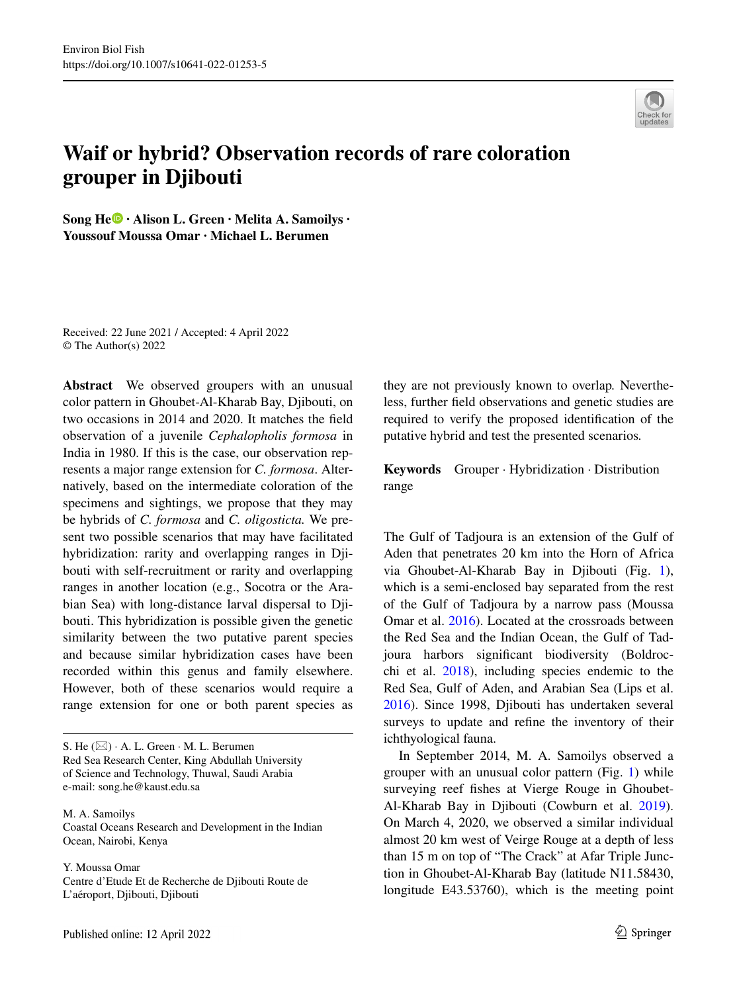

## **Waif or hybrid? Observation records of rare coloration grouper in Djibouti**

SongHe<sup> $\textcircled{\textbf{P}}$  **· Alison L. Green · Melita A. Samoilys ·**</sup> **Youssouf Moussa Omar · Michael L. Berumen**

Received: 22 June 2021 / Accepted: 4 April 2022 © The Author(s) 2022

**Abstract** We observed groupers with an unusual color pattern in Ghoubet-Al-Kharab Bay, Djibouti, on two occasions in 2014 and 2020. It matches the feld observation of a juvenile *Cephalopholis formosa* in India in 1980. If this is the case, our observation represents a major range extension for *C. formosa*. Alternatively, based on the intermediate coloration of the specimens and sightings, we propose that they may be hybrids of *C. formosa* and *C. oligosticta.* We present two possible scenarios that may have facilitated hybridization: rarity and overlapping ranges in Djibouti with self-recruitment or rarity and overlapping ranges in another location (e.g., Socotra or the Arabian Sea) with long-distance larval dispersal to Djibouti. This hybridization is possible given the genetic similarity between the two putative parent species and because similar hybridization cases have been recorded within this genus and family elsewhere. However, both of these scenarios would require a range extension for one or both parent species as

S. He  $(\boxtimes)$   $\cdot$  A. L. Green  $\cdot$  M. L. Berumen Red Sea Research Center, King Abdullah University of Science and Technology, Thuwal, Saudi Arabia e-mail: song.he@kaust.edu.sa

M. A. Samoilys Coastal Oceans Research and Development in the Indian Ocean, Nairobi, Kenya

Y. Moussa Omar Centre d'Etude Et de Recherche de Djibouti Route de L'aéroport, Djibouti, Djibouti

they are not previously known to overlap*.* Nevertheless, further feld observations and genetic studies are required to verify the proposed identifcation of the putative hybrid and test the presented scenarios*.*

**Keywords** Grouper · Hybridization · Distribution range

The Gulf of Tadjoura is an extension of the Gulf of Aden that penetrates 20 km into the Horn of Africa via Ghoubet-Al-Kharab Bay in Djibouti (Fig. [1](#page-1-0)), which is a semi-enclosed bay separated from the rest of the Gulf of Tadjoura by a narrow pass (Moussa Omar et al. [2016](#page-5-0)). Located at the crossroads between the Red Sea and the Indian Ocean, the Gulf of Tadjoura harbors signifcant biodiversity (Boldrocchi et al.  $2018$ ), including species endemic to the Red Sea, Gulf of Aden, and Arabian Sea (Lips et al. [2016\)](#page-4-1). Since 1998, Djibouti has undertaken several surveys to update and refne the inventory of their ichthyological fauna.

In September 2014, M. A. Samoilys observed a grouper with an unusual color pattern (Fig. [1](#page-1-0)) while surveying reef fshes at Vierge Rouge in Ghoubet-Al-Kharab Bay in Djibouti (Cowburn et al. [2019](#page-4-2)). On March 4, 2020, we observed a similar individual almost 20 km west of Veirge Rouge at a depth of less than 15 m on top of "The Crack" at Afar Triple Junction in Ghoubet-Al-Kharab Bay (latitude N11.58430, longitude E43.53760), which is the meeting point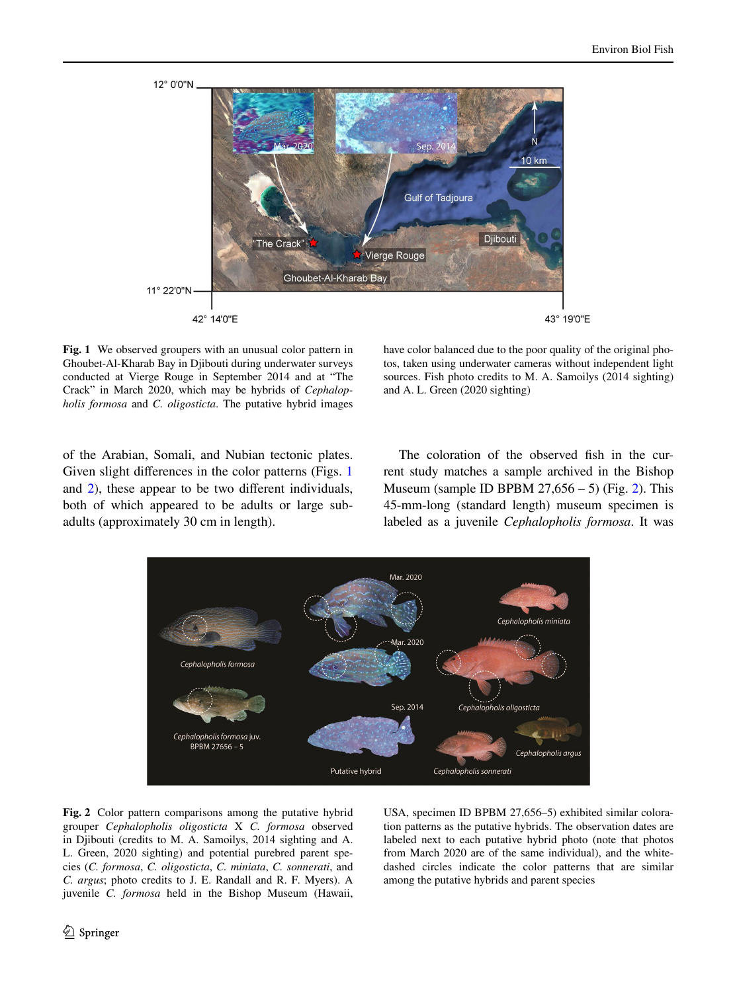

<span id="page-1-0"></span>**Fig. 1** We observed groupers with an unusual color pattern in Ghoubet-Al-Kharab Bay in Djibouti during underwater surveys conducted at Vierge Rouge in September 2014 and at "The Crack" in March 2020, which may be hybrids of *Cephalopholis formosa* and *C. oligosticta*. The putative hybrid images

have color balanced due to the poor quality of the original photos, taken using underwater cameras without independent light sources. Fish photo credits to M. A. Samoilys (2014 sighting) and A. L. Green (2020 sighting)

of the Arabian, Somali, and Nubian tectonic plates. Given slight differences in the color patterns (Figs. [1](#page-1-0)) and [2\)](#page-1-1), these appear to be two diferent individuals, both of which appeared to be adults or large subadults (approximately 30 cm in length).

The coloration of the observed fsh in the current study matches a sample archived in the Bishop Museum (sample ID BPBM  $27,656 - 5$ ) (Fig. [2](#page-1-1)). This 45-mm-long (standard length) museum specimen is labeled as a juvenile *Cephalopholis formosa*. It was



<span id="page-1-1"></span>**Fig. 2** Color pattern comparisons among the putative hybrid grouper *Cephalopholis oligosticta* X *C. formosa* observed in Djibouti (credits to M. A. Samoilys, 2014 sighting and A. L. Green, 2020 sighting) and potential purebred parent species (*C. formosa*, *C. oligosticta*, *C. miniata*, *C. sonnerati*, and *C. argus*; photo credits to J. E. Randall and R. F. Myers). A juvenile *C. formosa* held in the Bishop Museum (Hawaii, USA, specimen ID BPBM 27,656–5) exhibited similar coloration patterns as the putative hybrids. The observation dates are labeled next to each putative hybrid photo (note that photos from March 2020 are of the same individual), and the whitedashed circles indicate the color patterns that are similar among the putative hybrids and parent species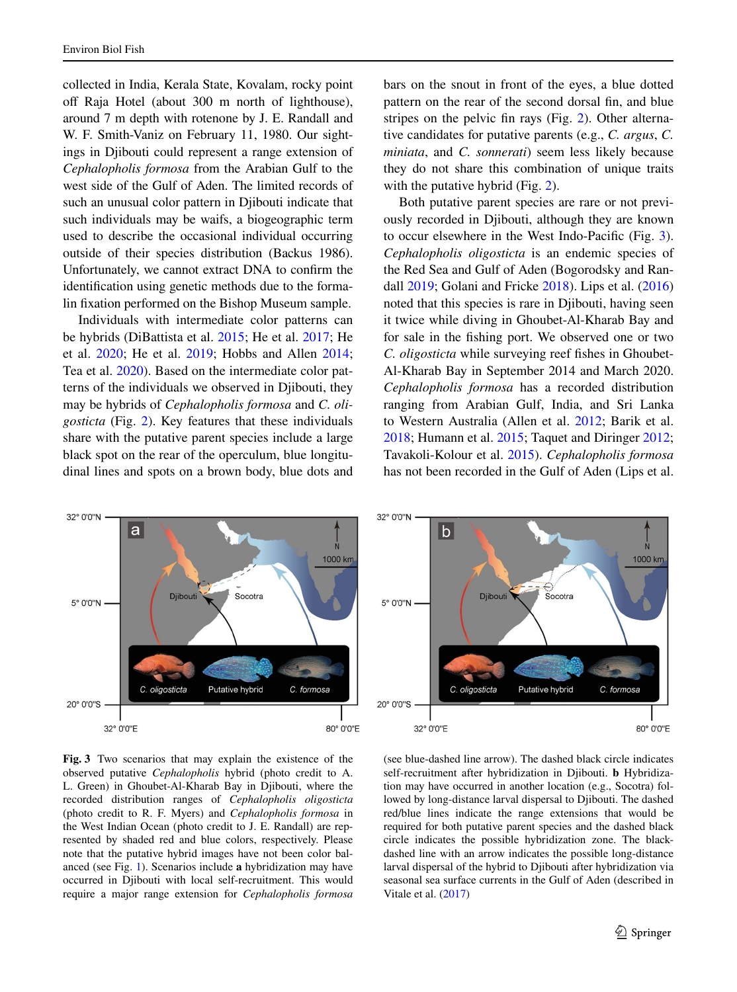collected in India, Kerala State, Kovalam, rocky point off Raja Hotel (about 300 m north of lighthouse), around 7 m depth with rotenone by J. E. Randall and W. F. Smith-Vaniz on February 11, 1980. Our sightings in Djibouti could represent a range extension of *Cephalopholis formosa* from the Arabian Gulf to the west side of the Gulf of Aden. The limited records of such an unusual color pattern in Djibouti indicate that such individuals may be waifs, a biogeographic term used to describe the occasional individual occurring outside of their species distribution (Backus 1986). Unfortunately, we cannot extract DNA to confrm the identifcation using genetic methods due to the formalin fxation performed on the Bishop Museum sample.

Individuals with intermediate color patterns can be hybrids (DiBattista et al. [2015;](#page-4-3) He et al. [2017;](#page-4-4) He et al. [2020](#page-4-5); He et al. [2019](#page-4-6); Hobbs and Allen [2014](#page-4-7); Tea et al. [2020\)](#page-5-1). Based on the intermediate color patterns of the individuals we observed in Djibouti, they may be hybrids of *Cephalopholis formosa* and *C. oligosticta* (Fig. [2\)](#page-1-1). Key features that these individuals share with the putative parent species include a large black spot on the rear of the operculum, blue longitudinal lines and spots on a brown body, blue dots and bars on the snout in front of the eyes, a blue dotted pattern on the rear of the second dorsal fin, and blue stripes on the pelvic fn rays (Fig. [2\)](#page-1-1). Other alternative candidates for putative parents (e.g., *C. argus*, *C. miniata*, and *C. sonnerati*) seem less likely because they do not share this combination of unique traits with the putative hybrid (Fig. [2\)](#page-1-1).

Both putative parent species are rare or not previously recorded in Djibouti, although they are known to occur elsewhere in the West Indo-Pacifc (Fig. [3\)](#page-2-0). *Cephalopholis oligosticta* is an endemic species of the Red Sea and Gulf of Aden (Bogorodsky and Randall [2019;](#page-4-8) Golani and Fricke [2018\)](#page-4-9). Lips et al. [\(2016](#page-4-1)) noted that this species is rare in Djibouti, having seen it twice while diving in Ghoubet-Al-Kharab Bay and for sale in the fshing port. We observed one or two *C. oligosticta* while surveying reef fishes in Ghoubet-Al-Kharab Bay in September 2014 and March 2020. *Cephalopholis formosa* has a recorded distribution ranging from Arabian Gulf, India, and Sri Lanka to Western Australia (Allen et al. [2012](#page-4-10); Barik et al. [2018;](#page-4-11) Humann et al. [2015](#page-4-12); Taquet and Diringer [2012;](#page-5-2) Tavakoli-Kolour et al. [2015](#page-5-3)). *Cephalopholis formosa* has not been recorded in the Gulf of Aden (Lips et al.



<span id="page-2-0"></span>

(see blue-dashed line arrow). The dashed black circle indicates self-recruitment after hybridization in Djibouti. **b** Hybridization may have occurred in another location (e.g., Socotra) followed by long-distance larval dispersal to Djibouti. The dashed red/blue lines indicate the range extensions that would be required for both putative parent species and the dashed black circle indicates the possible hybridization zone. The blackdashed line with an arrow indicates the possible long-distance larval dispersal of the hybrid to Djibouti after hybridization via seasonal sea surface currents in the Gulf of Aden (described in Vitale et al. [\(2017](#page-5-4))

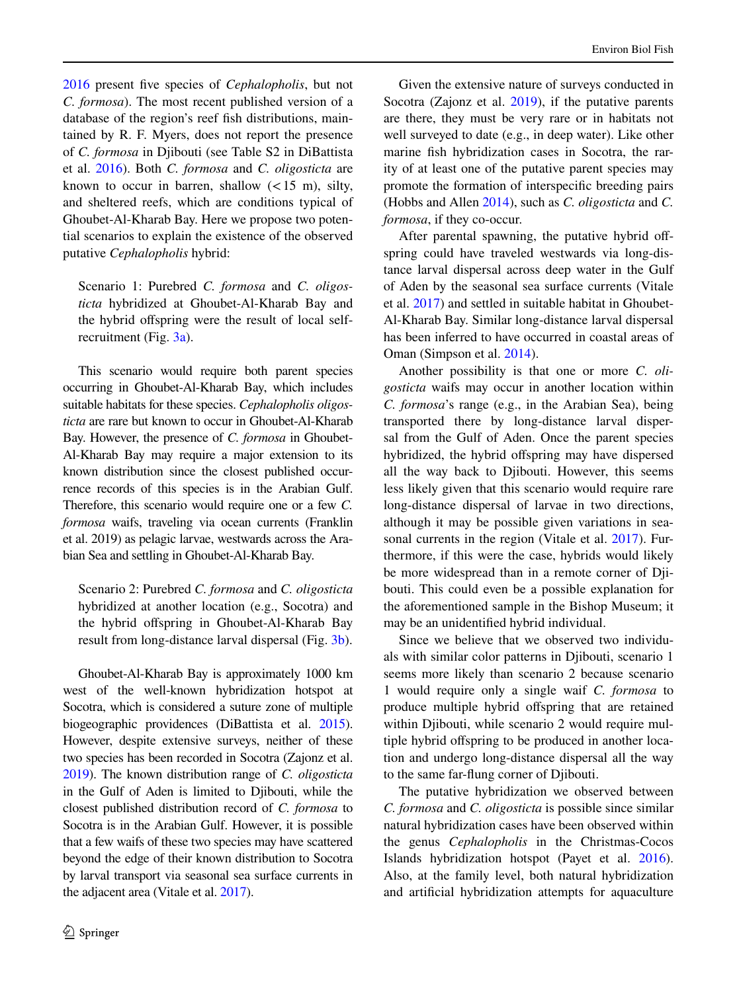[2016](#page-4-1) present fve species of *Cephalopholis*, but not *C. formosa*). The most recent published version of a database of the region's reef fsh distributions, maintained by R. F. Myers, does not report the presence of *C. formosa* in Djibouti (see Table S2 in DiBattista et al. [2016](#page-4-13)). Both *C. formosa* and *C. oligosticta* are known to occur in barren, shallow  $(< 15$  m), silty, and sheltered reefs, which are conditions typical of Ghoubet-Al-Kharab Bay. Here we propose two potential scenarios to explain the existence of the observed putative *Cephalopholis* hybrid:

Scenario 1: Purebred *C. formosa* and *C. oligosticta* hybridized at Ghoubet-Al-Kharab Bay and the hybrid ofspring were the result of local selfrecruitment (Fig. [3a\)](#page-2-0).

This scenario would require both parent species occurring in Ghoubet-Al-Kharab Bay, which includes suitable habitats for these species. *Cephalopholis oligosticta* are rare but known to occur in Ghoubet-Al-Kharab Bay. However, the presence of *C. formosa* in Ghoubet-Al-Kharab Bay may require a major extension to its known distribution since the closest published occurrence records of this species is in the Arabian Gulf. Therefore, this scenario would require one or a few *C. formosa* waifs, traveling via ocean currents (Franklin et al. 2019) as pelagic larvae, westwards across the Arabian Sea and settling in Ghoubet-Al-Kharab Bay.

Scenario 2: Purebred *C. formosa* and *C. oligosticta* hybridized at another location (e.g., Socotra) and the hybrid ofspring in Ghoubet-Al-Kharab Bay result from long-distance larval dispersal (Fig. [3b](#page-2-0)).

Ghoubet-Al-Kharab Bay is approximately 1000 km west of the well-known hybridization hotspot at Socotra, which is considered a suture zone of multiple biogeographic providences (DiBattista et al. [2015\)](#page-4-3). However, despite extensive surveys, neither of these two species has been recorded in Socotra (Zajonz et al. [2019](#page-5-5)). The known distribution range of *C. oligosticta* in the Gulf of Aden is limited to Djibouti, while the closest published distribution record of *C. formosa* to Socotra is in the Arabian Gulf. However, it is possible that a few waifs of these two species may have scattered beyond the edge of their known distribution to Socotra by larval transport via seasonal sea surface currents in the adjacent area (Vitale et al. [2017\)](#page-5-4).

Given the extensive nature of surveys conducted in Socotra (Zajonz et al. [2019](#page-5-5)), if the putative parents are there, they must be very rare or in habitats not well surveyed to date (e.g., in deep water). Like other marine fsh hybridization cases in Socotra, the rarity of at least one of the putative parent species may promote the formation of interspecifc breeding pairs (Hobbs and Allen [2014](#page-4-7)), such as *C. oligosticta* and *C. formosa*, if they co-occur.

After parental spawning, the putative hybrid offspring could have traveled westwards via long-distance larval dispersal across deep water in the Gulf of Aden by the seasonal sea surface currents (Vitale et al. [2017\)](#page-5-4) and settled in suitable habitat in Ghoubet-Al-Kharab Bay. Similar long-distance larval dispersal has been inferred to have occurred in coastal areas of Oman (Simpson et al. [2014](#page-5-6)).

Another possibility is that one or more *C. oligosticta* waifs may occur in another location within *C. formosa*'s range (e.g., in the Arabian Sea), being transported there by long-distance larval dispersal from the Gulf of Aden. Once the parent species hybridized, the hybrid ofspring may have dispersed all the way back to Djibouti. However, this seems less likely given that this scenario would require rare long-distance dispersal of larvae in two directions, although it may be possible given variations in seasonal currents in the region (Vitale et al. [2017](#page-5-4)). Furthermore, if this were the case, hybrids would likely be more widespread than in a remote corner of Djibouti. This could even be a possible explanation for the aforementioned sample in the Bishop Museum; it may be an unidentifed hybrid individual.

Since we believe that we observed two individuals with similar color patterns in Djibouti, scenario 1 seems more likely than scenario 2 because scenario 1 would require only a single waif *C. formosa* to produce multiple hybrid ofspring that are retained within Djibouti, while scenario 2 would require multiple hybrid ofspring to be produced in another location and undergo long-distance dispersal all the way to the same far-fung corner of Djibouti.

The putative hybridization we observed between *C. formosa* and *C. oligosticta* is possible since similar natural hybridization cases have been observed within the genus *Cephalopholis* in the Christmas-Cocos Islands hybridization hotspot (Payet et al. [2016](#page-5-7)). Also, at the family level, both natural hybridization and artifcial hybridization attempts for aquaculture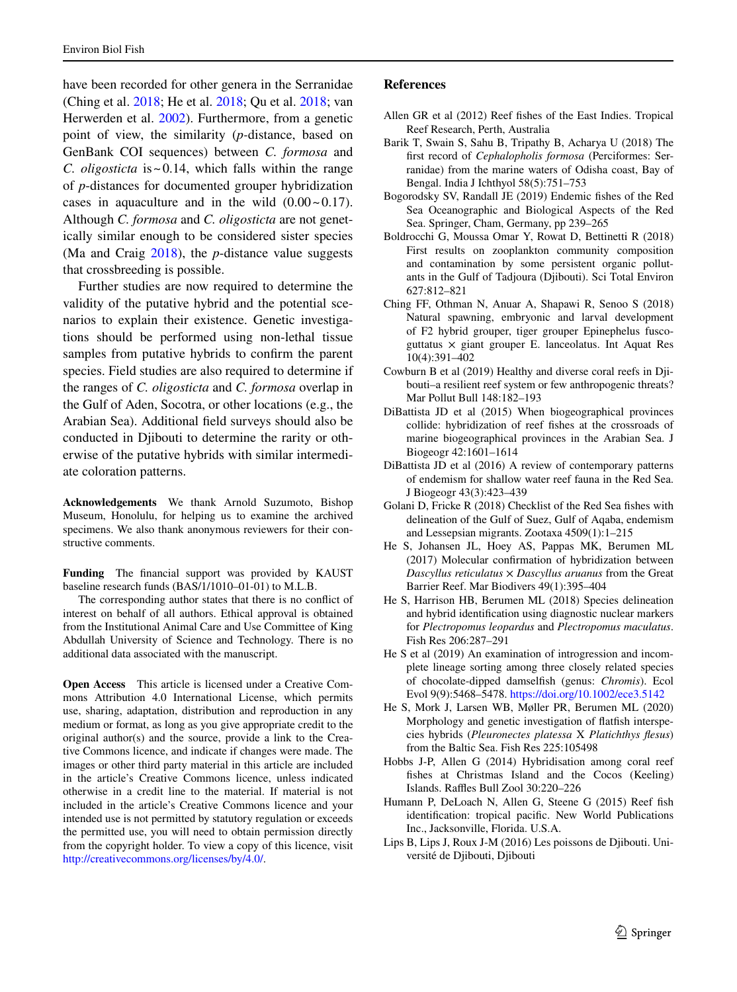have been recorded for other genera in the Serranidae (Ching et al. [2018](#page-4-14); He et al. [2018;](#page-4-15) Qu et al. [2018;](#page-5-8) van Herwerden et al. [2002\)](#page-5-9). Furthermore, from a genetic point of view, the similarity (*p-*distance, based on GenBank COI sequences) between *C. formosa* and *C. oligosticta* is~0.14, which falls within the range of *p*-distances for documented grouper hybridization cases in aquaculture and in the wild  $(0.00 \sim 0.17)$ . Although *C. formosa* and *C. oligosticta* are not genetically similar enough to be considered sister species (Ma and Craig [2018\)](#page-5-10), the *p*-distance value suggests that crossbreeding is possible.

Further studies are now required to determine the validity of the putative hybrid and the potential scenarios to explain their existence. Genetic investigations should be performed using non-lethal tissue samples from putative hybrids to confrm the parent species. Field studies are also required to determine if the ranges of *C. oligosticta* and *C. formosa* overlap in the Gulf of Aden, Socotra, or other locations (e.g., the Arabian Sea). Additional feld surveys should also be conducted in Djibouti to determine the rarity or otherwise of the putative hybrids with similar intermediate coloration patterns.

**Acknowledgements** We thank Arnold Suzumoto, Bishop Museum, Honolulu, for helping us to examine the archived specimens. We also thank anonymous reviewers for their constructive comments.

**Funding** The fnancial support was provided by KAUST baseline research funds (BAS/1/1010–01-01) to M.L.B.

The corresponding author states that there is no confict of interest on behalf of all authors. Ethical approval is obtained from the Institutional Animal Care and Use Committee of King Abdullah University of Science and Technology. There is no additional data associated with the manuscript.

**Open Access** This article is licensed under a Creative Commons Attribution 4.0 International License, which permits use, sharing, adaptation, distribution and reproduction in any medium or format, as long as you give appropriate credit to the original author(s) and the source, provide a link to the Creative Commons licence, and indicate if changes were made. The images or other third party material in this article are included in the article's Creative Commons licence, unless indicated otherwise in a credit line to the material. If material is not included in the article's Creative Commons licence and your intended use is not permitted by statutory regulation or exceeds the permitted use, you will need to obtain permission directly from the copyright holder. To view a copy of this licence, visit <http://creativecommons.org/licenses/by/4.0/>.

## **References**

- <span id="page-4-10"></span>Allen GR et al (2012) Reef fshes of the East Indies. Tropical Reef Research, Perth, Australia
- <span id="page-4-11"></span>Barik T, Swain S, Sahu B, Tripathy B, Acharya U (2018) The frst record of *Cephalopholis formosa* (Perciformes: Serranidae) from the marine waters of Odisha coast, Bay of Bengal. India J Ichthyol 58(5):751–753
- <span id="page-4-8"></span>Bogorodsky SV, Randall JE (2019) Endemic fshes of the Red Sea Oceanographic and Biological Aspects of the Red Sea. Springer, Cham, Germany, pp 239–265
- <span id="page-4-0"></span>Boldrocchi G, Moussa Omar Y, Rowat D, Bettinetti R (2018) First results on zooplankton community composition and contamination by some persistent organic pollutants in the Gulf of Tadjoura (Djibouti). Sci Total Environ 627:812–821
- <span id="page-4-14"></span>Ching FF, Othman N, Anuar A, Shapawi R, Senoo S (2018) Natural spawning, embryonic and larval development of F2 hybrid grouper, tiger grouper Epinephelus fuscoguttatus  $\times$  giant grouper E. lanceolatus. Int Aquat Res 10(4):391–402
- <span id="page-4-2"></span>Cowburn B et al (2019) Healthy and diverse coral reefs in Djibouti–a resilient reef system or few anthropogenic threats? Mar Pollut Bull 148:182–193
- <span id="page-4-3"></span>DiBattista JD et al (2015) When biogeographical provinces collide: hybridization of reef fshes at the crossroads of marine biogeographical provinces in the Arabian Sea. J Biogeogr 42:1601–1614
- <span id="page-4-13"></span>DiBattista JD et al (2016) A review of contemporary patterns of endemism for shallow water reef fauna in the Red Sea. J Biogeogr 43(3):423–439
- <span id="page-4-9"></span>Golani D, Fricke R (2018) Checklist of the Red Sea fshes with delineation of the Gulf of Suez, Gulf of Aqaba, endemism and Lessepsian migrants. Zootaxa 4509(1):1–215
- <span id="page-4-4"></span>He S, Johansen JL, Hoey AS, Pappas MK, Berumen ML (2017) Molecular confrmation of hybridization between *Dascyllus reticulatus* × *Dascyllus aruanus* from the Great Barrier Reef. Mar Biodivers 49(1):395–404
- <span id="page-4-15"></span>He S, Harrison HB, Berumen ML (2018) Species delineation and hybrid identifcation using diagnostic nuclear markers for *Plectropomus leopardus* and *Plectropomus maculatus*. Fish Res 206:287–291
- <span id="page-4-6"></span>He S et al (2019) An examination of introgression and incomplete lineage sorting among three closely related species of chocolate-dipped damselfsh (genus: *Chromis*). Ecol Evol 9(9):5468–5478. <https://doi.org/10.1002/ece3.5142>
- <span id="page-4-5"></span>He S, Mork J, Larsen WB, Møller PR, Berumen ML (2020) Morphology and genetic investigation of fatfsh interspecies hybrids (*Pleuronectes platessa* X *Platichthys fesus*) from the Baltic Sea. Fish Res 225:105498
- <span id="page-4-7"></span>Hobbs J-P, Allen G (2014) Hybridisation among coral reef fshes at Christmas Island and the Cocos (Keeling) Islands. Raffles Bull Zool 30:220-226
- <span id="page-4-12"></span>Humann P, DeLoach N, Allen G, Steene G (2015) Reef fsh identifcation: tropical pacifc. New World Publications Inc., Jacksonville, Florida. U.S.A.
- <span id="page-4-1"></span>Lips B, Lips J, Roux J-M (2016) Les poissons de Djibouti. Université de Djibouti, Djibouti